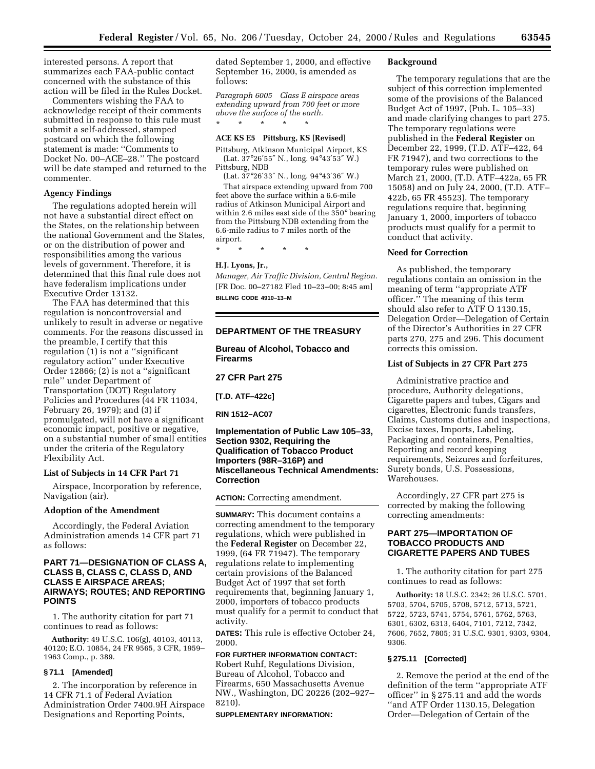interested persons. A report that summarizes each FAA-public contact concerned with the substance of this action will be filed in the Rules Docket.

Commenters wishing the FAA to acknowledge receipt of their comments submitted in response to this rule must submit a self-addressed, stamped postcard on which the following statement is made: ''Comments to Docket No. 00–ACE–28.'' The postcard will be date stamped and returned to the commenter.

#### **Agency Findings**

The regulations adopted herein will not have a substantial direct effect on the States, on the relationship between the national Government and the States, or on the distribution of power and responsibilities among the various levels of government. Therefore, it is determined that this final rule does not have federalism implications under Executive Order 13132.

The FAA has determined that this regulation is noncontroversial and unlikely to result in adverse or negative comments. For the reasons discussed in the preamble, I certify that this regulation (1) is not a ''significant regulatory action'' under Executive Order 12866; (2) is not a ''significant rule'' under Department of Transportation (DOT) Regulatory Policies and Procedures (44 FR 11034, February 26, 1979); and (3) if promulgated, will not have a significant economic impact, positive or negative, on a substantial number of small entities under the criteria of the Regulatory Flexibility Act.

#### **List of Subjects in 14 CFR Part 71**

Airspace, Incorporation by reference, Navigation (air).

### **Adoption of the Amendment**

Accordingly, the Federal Aviation Administration amends 14 CFR part 71 as follows:

### **PART 71—DESIGNATION OF CLASS A, CLASS B, CLASS C, CLASS D, AND CLASS E AIRSPACE AREAS; AIRWAYS; ROUTES; AND REPORTING POINTS**

1. The authority citation for part 71 continues to read as follows:

**Authority:** 49 U.S.C. 106(g), 40103, 40113, 40120; E.O. 10854, 24 FR 9565, 3 CFR, 1959– 1963 Comp., p. 389.

#### **§ 71.1 [Amended]**

2. The incorporation by reference in 14 CFR 71.1 of Federal Aviation Administration Order 7400.9H Airspace Designations and Reporting Points,

dated September 1, 2000, and effective September 16, 2000, is amended as follows:

*Paragraph 6005 Class E airspace areas extending upward from 700 feet or more above the surface of the earth.* \* \* \* \* \*

### **ACE KS E5 Pittsburg, KS [Revised]**

Pittsburg, Atkinson Municipal Airport, KS  $(Lat. 37^{\circ}26'55'' N., long. 94^{\circ}43'53'' W.)$ Pittsburg, NDB

(Lat. 37°26′33″ N., long. 94°43′36″ W.)

That airspace extending upward from 700 feet above the surface within a 6.6-mile radius of Atkinson Municipal Airport and within 2.6 miles east side of the 350° bearing from the Pittsburg NDB extending from the 6.6-mile radius to 7 miles north of the airport.

\* \* \* \* \*

### **H.J. Lyons, Jr.,**

*Manager, Air Traffic Division, Central Region.* [FR Doc. 00–27182 Fled 10–23–00; 8:45 am] **BILLING CODE 4910–13–M**

### **DEPARTMENT OF THE TREASURY**

**Bureau of Alcohol, Tobacco and Firearms**

**27 CFR Part 275**

**[T.D. ATF–422c]**

**RIN 1512–AC07**

### **Implementation of Public Law 105–33, Section 9302, Requiring the Qualification of Tobacco Product Importers (98R–316P) and Miscellaneous Technical Amendments: Correction**

**ACTION:** Correcting amendment.

**SUMMARY:** This document contains a correcting amendment to the temporary regulations, which were published in the **Federal Register** on December 22, 1999, (64 FR 71947). The temporary regulations relate to implementing certain provisions of the Balanced Budget Act of 1997 that set forth requirements that, beginning January 1, 2000, importers of tobacco products must qualify for a permit to conduct that activity.

**DATES:** This rule is effective October 24, 2000.

**FOR FURTHER INFORMATION CONTACT:** Robert Ruhf, Regulations Division, Bureau of Alcohol, Tobacco and Firearms, 650 Massachusetts Avenue NW., Washington, DC 20226 (202–927– 8210).

**SUPPLEMENTARY INFORMATION:**

### **Background**

The temporary regulations that are the subject of this correction implemented some of the provisions of the Balanced Budget Act of 1997, (Pub. L. 105–33) and made clarifying changes to part 275. The temporary regulations were published in the **Federal Register** on December 22, 1999, (T.D. ATF–422, 64 FR 71947), and two corrections to the temporary rules were published on March 21, 2000, (T.D. ATF–422a, 65 FR 15058) and on July 24, 2000, (T.D. ATF– 422b, 65 FR 45523). The temporary regulations require that, beginning January 1, 2000, importers of tobacco products must qualify for a permit to conduct that activity.

### **Need for Correction**

As published, the temporary regulations contain an omission in the meaning of term ''appropriate ATF officer.'' The meaning of this term should also refer to ATF O 1130.15, Delegation Order—Delegation of Certain of the Director's Authorities in 27 CFR parts 270, 275 and 296. This document corrects this omission.

### **List of Subjects in 27 CFR Part 275**

Administrative practice and procedure, Authority delegations, Cigarette papers and tubes, Cigars and cigarettes, Electronic funds transfers, Claims, Customs duties and inspections, Excise taxes, Imports, Labeling, Packaging and containers, Penalties, Reporting and record keeping requirements, Seizures and forfeitures, Surety bonds, U.S. Possessions, Warehouses.

Accordingly, 27 CFR part 275 is corrected by making the following correcting amendments:

## **PART 275—IMPORTATION OF TOBACCO PRODUCTS AND CIGARETTE PAPERS AND TUBES**

1. The authority citation for part 275 continues to read as follows:

**Authority:** 18 U.S.C. 2342; 26 U.S.C. 5701, 5703, 5704, 5705, 5708, 5712, 5713, 5721, 5722, 5723, 5741, 5754, 5761, 5762, 5763, 6301, 6302, 6313, 6404, 7101, 7212, 7342, 7606, 7652, 7805; 31 U.S.C. 9301, 9303, 9304, 9306.

### **§ 275.11 [Corrected]**

2. Remove the period at the end of the definition of the term ''appropriate ATF officer'' in § 275.11 and add the words ''and ATF Order 1130.15, Delegation Order—Delegation of Certain of the